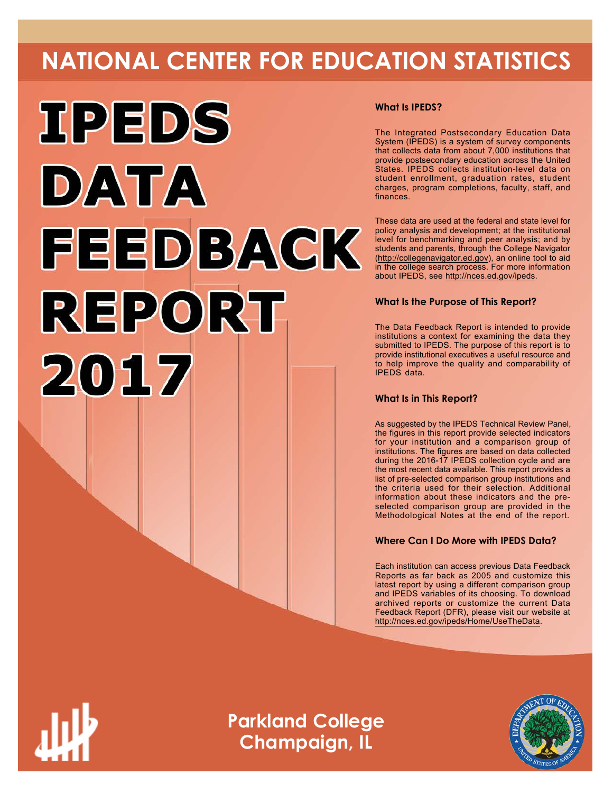# **NATIONAL CENTER FOR EDUCATION STATISTICS**



#### **What Is IPEDS?**

The Integrated Postsecondary Education Data System (IPEDS) is a system of survey components that collects data from about 7,000 institutions that provide postsecondary education across the United States. IPEDS collects institution-level data on student enrollment, graduation rates, student charges, program completions, faculty, staff, and finances.

These data are used at the federal and state level for policy analysis and development; at the institutional level for benchmarking and peer analysis; and by students and parents, through the College Navigator ([http://collegenavigator.ed.gov\)](http://collegenavigator.ed.gov), an online tool to aid in the college search process. For more information about IPEDS, see [http://nces.ed.gov/ipeds.](http://nces.ed.gov/ipeds)

#### **What Is the Purpose of This Report?**

The Data Feedback Report is intended to provide institutions a context for examining the data they submitted to IPEDS. The purpose of this report is to provide institutional executives a useful resource and to help improve the quality and comparability of IPEDS data.

#### **What Is in This Report?**

As suggested by the IPEDS Technical Review Panel, the figures in this report provide selected indicators for your institution and a comparison group of institutions. The figures are based on data collected during the 2016-17 IPEDS collection cycle and are the most recent data available. This report provides a list of pre-selected comparison group institutions and the criteria used for their selection. Additional information about these indicators and the preselected comparison group are provided in the Methodological Notes at the end of the report.

#### **Where Can I Do More with IPEDS Data?**

Each institution can access previous Data Feedback Reports as far back as 2005 and customize this latest report by using a different comparison group and IPEDS variables of its choosing. To download archived reports or customize the current Data Feedback Report (DFR), please visit our website at <http://nces.ed.gov/ipeds/Home/UseTheData>.



**Parkland College Champaign, IL**

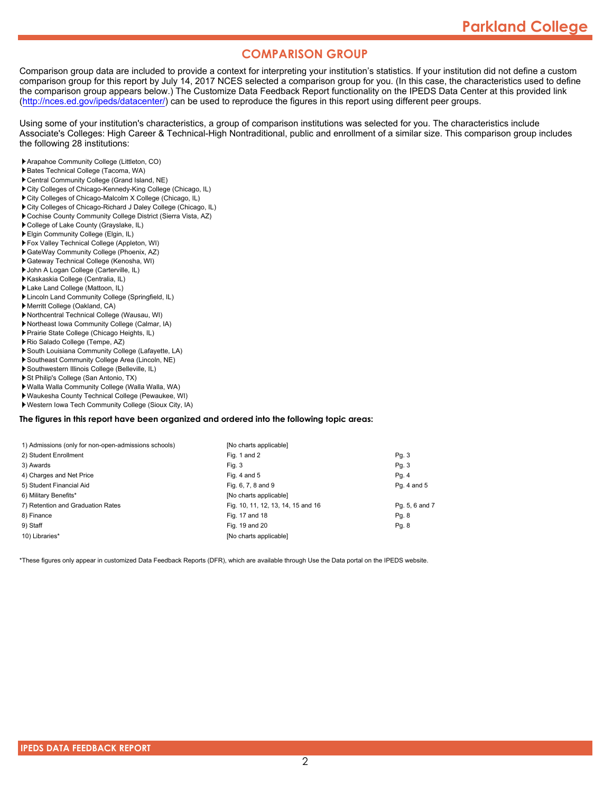#### **COMPARISON GROUP**

Comparison group data are included to provide a context for interpreting your institution's statistics. If your institution did not define a custom comparison group for this report by July 14, 2017 NCES selected a comparison group for you. (In this case, the characteristics used to define the comparison group appears below.) The Customize Data Feedback Report functionality on the IPEDS Data Center at this provided link [\(http://nces.ed.gov/ipeds/datacenter/\)](http://nces.ed.gov/ipeds/datacenter/) can be used to reproduce the figures in this report using different peer groups.

Using some of your institution's characteristics, a group of comparison institutions was selected for you. The characteristics include Associate's Colleges: High Career & Technical-High Nontraditional, public and enrollment of a similar size. This comparison group includes the following 28 institutions:

- Arapahoe Community College (Littleton, CO)
- Bates Technical College (Tacoma, WA)
- Central Community College (Grand Island, NE)
- City Colleges of Chicago-Kennedy-King College (Chicago, IL)
- City Colleges of Chicago-Malcolm X College (Chicago, IL)
- City Colleges of Chicago-Richard J Daley College (Chicago, IL)
- Cochise County Community College District (Sierra Vista, AZ)
- College of Lake County (Grayslake, IL)
- Elgin Community College (Elgin, IL)
- Fox Valley Technical College (Appleton, WI)
- GateWay Community College (Phoenix, AZ)
- Gateway Technical College (Kenosha, WI)
- John A Logan College (Carterville, IL) Kaskaskia College (Centralia, IL)
- Lake Land College (Mattoon, IL)
- Lincoln Land Community College (Springfield, IL)
- Merritt College (Oakland, CA)
- Northcentral Technical College (Wausau, WI)
- Northeast Iowa Community College (Calmar, IA)
- Prairie State College (Chicago Heights, IL)
- Rio Salado College (Tempe, AZ)
- South Louisiana Community College (Lafayette, LA)
- Southeast Community College Area (Lincoln, NE)
- Southwestern Illinois College (Belleville, IL)
- St Philip's College (San Antonio, TX)
- Walla Walla Community College (Walla Walla, WA)
- Waukesha County Technical College (Pewaukee, WI)
- Western Iowa Tech Community College (Sioux City, IA)

#### **The figures in this report have been organized and ordered into the following topic areas:**

| 1) Admissions (only for non-open-admissions schools) | [No charts applicable]             |                |
|------------------------------------------------------|------------------------------------|----------------|
| 2) Student Enrollment                                | Fig. 1 and 2                       | Pg. 3          |
| 3) Awards                                            | Fig. 3                             | Pq. 3          |
| 4) Charges and Net Price                             | Fig. 4 and $5$                     | Pg. 4          |
| 5) Student Financial Aid                             | Fig. 6, 7, 8 and 9                 | Pg. 4 and 5    |
| 6) Military Benefits*                                | [No charts applicable]             |                |
| 7) Retention and Graduation Rates                    | Fig. 10, 11, 12, 13, 14, 15 and 16 | Pg. 5, 6 and 7 |
| 8) Finance                                           | Fig. 17 and 18                     | Pg. 8          |
| 9) Staff                                             | Fig. 19 and 20                     | Pq. 8          |
| 10) Libraries*                                       | [No charts applicable]             |                |

\*These figures only appear in customized Data Feedback Reports (DFR), which are available through Use the Data portal on the IPEDS website.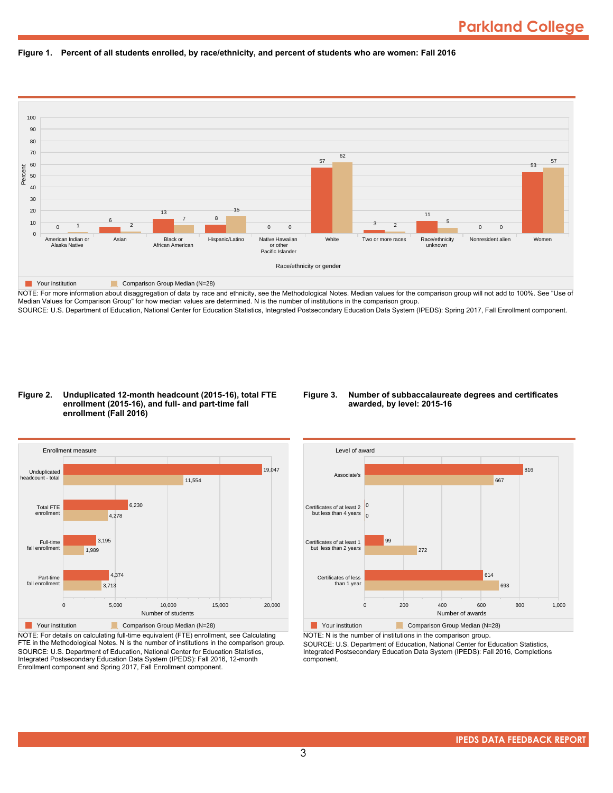



NOTE: For more information about disaggregation of data by race and ethnicity, see the Methodological Notes. Median values for the comparison group will not add to 100%. See "Use of Median Values for Comparison Group" for how median values are determined. N is the number of institutions in the comparison group. SOURCE: U.S. Department of Education, National Center for Education Statistics, Integrated Postsecondary Education Data System (IPEDS): Spring 2017, Fall Enrollment component.

#### **Figure 2. Unduplicated 12-month headcount (2015-16), total FTE enrollment (2015-16), and full- and part-time fall enrollment (Fall 2016)**

#### **Figure 3. Number of subbaccalaureate degrees and certificates awarded, by level: 2015-16**



NOTE: For details on calculating full-time equivalent (FTE) enrollment, see Calculating FTE in the Methodological Notes. N is the number of institutions in the comparison group. SOURCE: U.S. Department of Education, National Center for Education Statistics, Integrated Postsecondary Education Data System (IPEDS): Fall 2016, 12-month Enrollment component and Spring 2017, Fall Enrollment component.



NOTE: N is the number of institutions in the comparison group.

SOURCE: U.S. Department of Education, National Center for Education Statistics, Integrated Postsecondary Education Data System (IPEDS): Fall 2016, Completions component.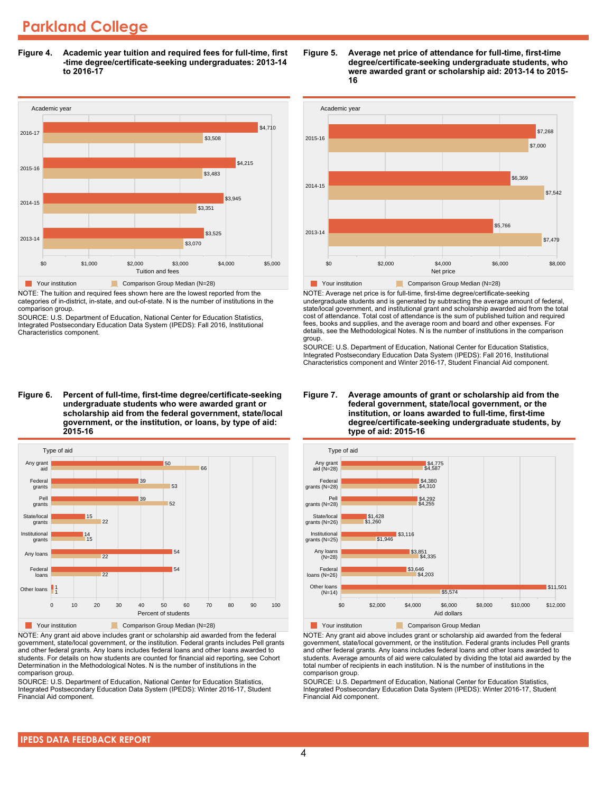## **Parkland College**

**Figure 4. Academic year tuition and required fees for full-time, first -time degree/certificate-seeking undergraduates: 2013-14 to 2016-17**



NOTE: The tuition and required fees shown here are the lowest reported from the categories of in-district, in-state, and out-of-state. N is the number of institutions in the comparison group.

SOURCE: U.S. Department of Education, National Center for Education Statistics, Integrated Postsecondary Education Data System (IPEDS): Fall 2016, Institutional Characteristics component.

**Figure 6. Percent of full-time, first-time degree/certificate-seeking undergraduate students who were awarded grant or scholarship aid from the federal government, state/local government, or the institution, or loans, by type of aid: 2015-16**



NOTE: Any grant aid above includes grant or scholarship aid awarded from the federal government, state/local government, or the institution. Federal grants includes Pell grants and other federal grants. Any loans includes federal loans and other loans awarded to students. For details on how students are counted for financial aid reporting, see Cohort Determination in the Methodological Notes. N is the number of institutions in the comparison group.

SOURCE: U.S. Department of Education, National Center for Education Statistics, Integrated Postsecondary Education Data System (IPEDS): Winter 2016-17, Student Financial Aid component.

#### **Figure 5. Average net price of attendance for full-time, first-time degree/certificate-seeking undergraduate students, who were awarded grant or scholarship aid: 2013-14 to 2015- 16**



NOTE: Average net price is for full-time, first-time degree/certificate-seeking undergraduate students and is generated by subtracting the average amount of federal, state/local government, and institutional grant and scholarship awarded aid from the total cost of attendance. Total cost of attendance is the sum of published tuition and required fees, books and supplies, and the average room and board and other expenses. For details, see the Methodological Notes. N is the number of institutions in the comparison group.

SOURCE: U.S. Department of Education, National Center for Education Statistics, Integrated Postsecondary Education Data System (IPEDS): Fall 2016, Institutional Characteristics component and Winter 2016-17, Student Financial Aid component.





**Table Your institution** Comparison Group Median

NOTE: Any grant aid above includes grant or scholarship aid awarded from the federal government, state/local government, or the institution. Federal grants includes Pell grants and other federal grants. Any loans includes federal loans and other loans awarded to students. Average amounts of aid were calculated by dividing the total aid awarded by the total number of recipients in each institution. N is the number of institutions in the comparison group.

SOURCE: U.S. Department of Education, National Center for Education Statistics, Integrated Postsecondary Education Data System (IPEDS): Winter 2016-17, Student Financial Aid component.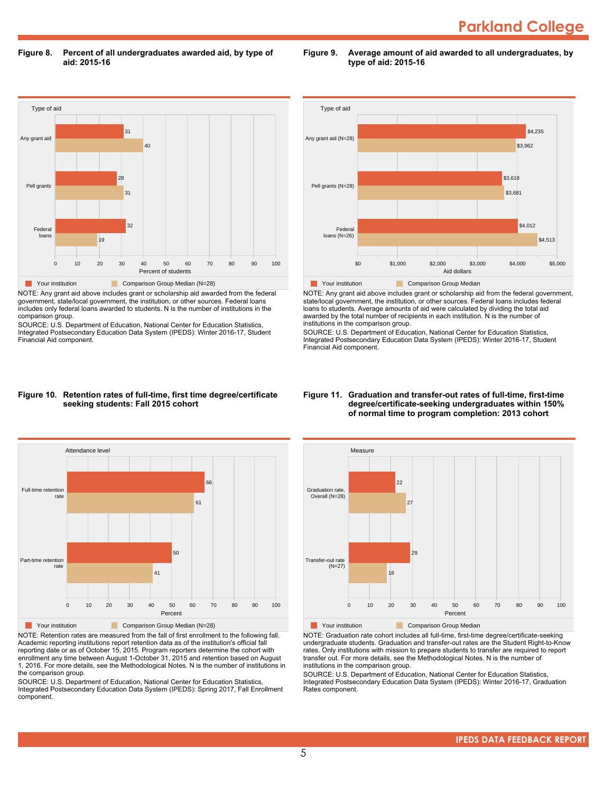**Figure 8. Percent of all undergraduates awarded aid, by type of aid: 2015-16**

**Figure 9. Average amount of aid awarded to all undergraduates, by type of aid: 2015-16**



NOTE: Any grant aid above includes grant or scholarship aid awarded from the federal government, state/local government, the institution, or other sources. Federal loans includes only federal loans awarded to students. N is the number of institutions in the comparison group.

SOURCE: U.S. Department of Education, National Center for Education Statistics, Integrated Postsecondary Education Data System (IPEDS): Winter 2016-17, Student Financial Aid component.



NOTE: Any grant aid above includes grant or scholarship aid from the federal government, state/local government, the institution, or other sources. Federal loans includes federal loans to students. Average amounts of aid were calculated by dividing the total aid awarded by the total number of recipients in each institution. N is the number of institutions in the comparison group.

SOURCE: U.S. Department of Education, National Center for Education Statistics, Integrated Postsecondary Education Data System (IPEDS): Winter 2016-17, Student Financial Aid component.

#### **Figure 10. Retention rates of full-time, first time degree/certificate seeking students: Fall 2015 cohort**



NOTE: Retention rates are measured from the fall of first enrollment to the following fall. Academic reporting institutions report retention data as of the institution's official fall reporting date or as of October 15, 2015. Program reporters determine the cohort with enrollment any time between August 1-October 31, 2015 and retention based on August 1, 2016. For more details, see the Methodological Notes. N is the number of institutions in the comparison group.

SOURCE: U.S. Department of Education, National Center for Education Statistics, Integrated Postsecondary Education Data System (IPEDS): Spring 2017, Fall Enrollment component.

#### **Figure 11. Graduation and transfer-out rates of full-time, first-time degree/certificate-seeking undergraduates within 150% of normal time to program completion: 2013 cohort**



NOTE: Graduation rate cohort includes all full-time, first-time degree/certificate-seeking undergraduate students. Graduation and transfer-out rates are the Student Right-to-Know rates. Only institutions with mission to prepare students to transfer are required to report transfer out. For more details, see the Methodological Notes. N is the number of institutions in the comparison group.

SOURCE: U.S. Department of Education, National Center for Education Statistics, Integrated Postsecondary Education Data System (IPEDS): Winter 2016-17, Graduation Rates component.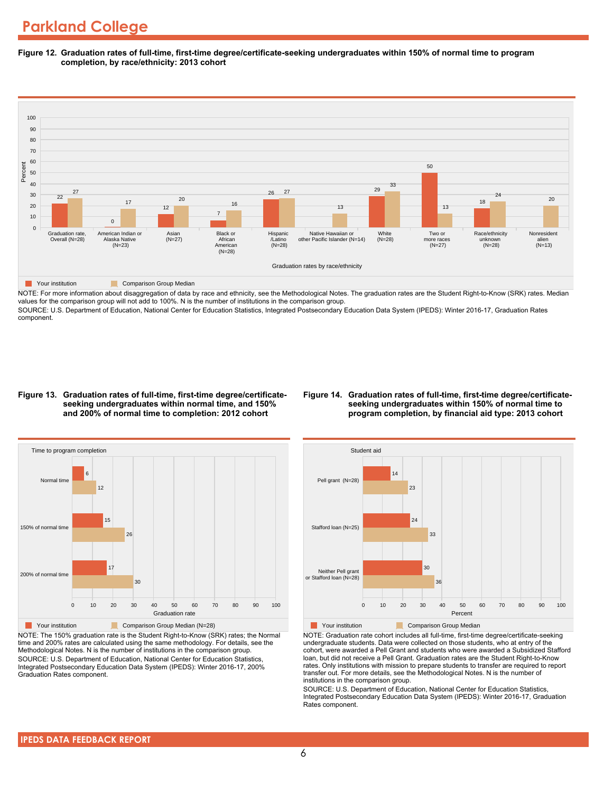**Figure 12. Graduation rates of full-time, first-time degree/certificate-seeking undergraduates within 150% of normal time to program completion, by race/ethnicity: 2013 cohort**



NOTE: For more information about disaggregation of data by race and ethnicity, see the Methodological Notes. The graduation rates are the Student Right-to-Know (SRK) rates. Median values for the comparison group will not add to 100%. N is the number of institutions in the comparison group.

SOURCE: U.S. Department of Education, National Center for Education Statistics, Integrated Postsecondary Education Data System (IPEDS): Winter 2016-17, Graduation Rates component.

#### **Figure 13. Graduation rates of full-time, first-time degree/certificateseeking undergraduates within normal time, and 150% and 200% of normal time to completion: 2012 cohort**

#### **Figure 14. Graduation rates of full-time, first-time degree/certificateseeking undergraduates within 150% of normal time to program completion, by financial aid type: 2013 cohort**



NOTE: The 150% graduation rate is the Student Right-to-Know (SRK) rates; the Normal time and 200% rates are calculated using the same methodology. For details, see the Methodological Notes. N is the number of institutions in the comparison group. SOURCE: U.S. Department of Education, National Center for Education Statistics, Integrated Postsecondary Education Data System (IPEDS): Winter 2016-17, 200% Graduation Rates component.



NOTE: Graduation rate cohort includes all full-time, first-time degree/certificate-seeking undergraduate students. Data were collected on those students, who at entry of the cohort, were awarded a Pell Grant and students who were awarded a Subsidized Stafford loan, but did not receive a Pell Grant. Graduation rates are the Student Right-to-Know rates. Only institutions with mission to prepare students to transfer are required to report transfer out. For more details, see the Methodological Notes. N is the number of institutions in the comparison group.

SOURCE: U.S. Department of Education, National Center for Education Statistics, Integrated Postsecondary Education Data System (IPEDS): Winter 2016-17, Graduation Rates component.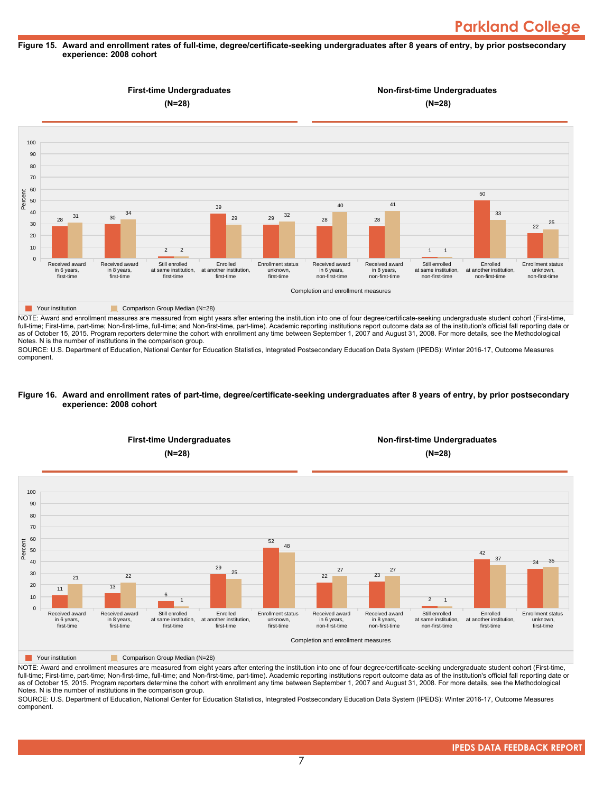#### **Figure 15. Award and enrollment rates of full-time, degree/certificate-seeking undergraduates after 8 years of entry, by prior postsecondary experience: 2008 cohort**



NOTE: Award and enrollment measures are measured from eight years after entering the institution into one of four degree/certificate-seeking undergraduate student cohort (First-time, full-time; First-time, part-time; Non-first-time, full-time; and Non-first-time, part-time). Academic reporting institutions report outcome data as of the institution's official fall reporting date or as of October 15, 2015. Program reporters determine the cohort with enrollment any time between September 1, 2007 and August 31, 2008. For more details, see the Methodological Notes. N is the number of institutions in the comparison group.

SOURCE: U.S. Department of Education, National Center for Education Statistics, Integrated Postsecondary Education Data System (IPEDS): Winter 2016-17, Outcome Measures component.

#### **Figure 16. Award and enrollment rates of part-time, degree/certificate-seeking undergraduates after 8 years of entry, by prior postsecondary experience: 2008 cohort**



NOTE: Award and enrollment measures are measured from eight years after entering the institution into one of four degree/certificate-seeking undergraduate student cohort (First-time, full-time; First-time, part-time; Non-first-time, full-time; and Non-first-time, part-time). Academic reporting institutions report outcome data as of the institution's official fall reporting date or as of October 15, 2015. Program reporters determine the cohort with enrollment any time between September 1, 2007 and August 31, 2008. For more details, see the Methodological Notes. N is the number of institutions in the comparison group.

SOURCE: U.S. Department of Education, National Center for Education Statistics, Integrated Postsecondary Education Data System (IPEDS): Winter 2016-17, Outcome Measures component.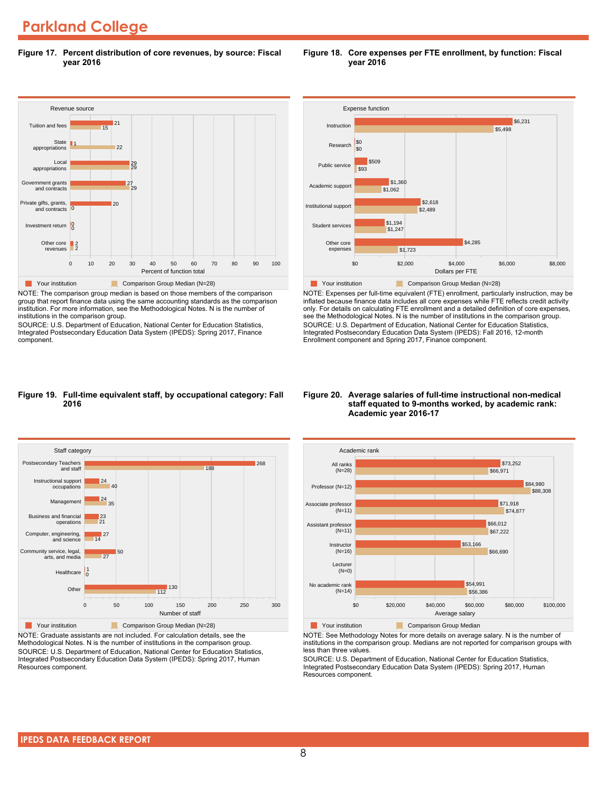### **Parkland College**

**Figure 17. Percent distribution of core revenues, by source: Fiscal year 2016**



NOTE: The comparison group median is based on those members of the comparison group that report finance data using the same accounting standards as the comparison institution. For more information, see the Methodological Notes. N is the number of institutions in the comparison group.

SOURCE: U.S. Department of Education, National Center for Education Statistics, Integrated Postsecondary Education Data System (IPEDS): Spring 2017, Finance component.



**Figure 18. Core expenses per FTE enrollment, by function: Fiscal**

**year 2016**



NOTE: Expenses per full-time equivalent (FTE) enrollment, particularly instruction, may be inflated because finance data includes all core expenses while FTE reflects credit activity only. For details on calculating FTE enrollment and a detailed definition of core expenses, see the Methodological Notes. N is the number of institutions in the comparison group. SOURCE: U.S. Department of Education, National Center for Education Statistics, Integrated Postsecondary Education Data System (IPEDS): Fall 2016, 12-month Enrollment component and Spring 2017, Finance component.

#### **Figure 19. Full-time equivalent staff, by occupational category: Fall 2016**



NOTE: Graduate assistants are not included. For calculation details, see the Methodological Notes. N is the number of institutions in the comparison group. SOURCE: U.S. Department of Education, National Center for Education Statistics, Integrated Postsecondary Education Data System (IPEDS): Spring 2017, Human Resources component.

#### **Figure 20. Average salaries of full-time instructional non-medical staff equated to 9-months worked, by academic rank: Academic year 2016-17**



NOTE: See Methodology Notes for more details on average salary. N is the number of institutions in the comparison group. Medians are not reported for comparison groups with less than three values.

SOURCE: U.S. Department of Education, National Center for Education Statistics, Integrated Postsecondary Education Data System (IPEDS): Spring 2017, Human Resources component.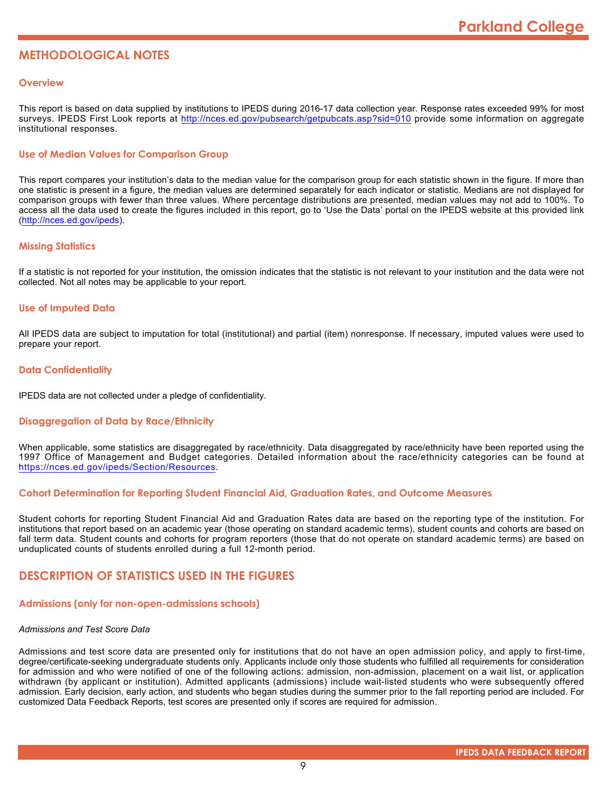### **METHODOLOGICAL NOTES**

#### **Overview**

This report is based on data supplied by institutions to IPEDS during 2016-17 data collection year. Response rates exceeded 99% for most surveys. IPEDS First Look reports at <http://nces.ed.gov/pubsearch/getpubcats.asp?sid=010> provide some information on aggregate institutional responses.

#### **Use of Median Values for Comparison Group**

This report compares your institution's data to the median value for the comparison group for each statistic shown in the figure. If more than one statistic is present in a figure, the median values are determined separately for each indicator or statistic. Medians are not displayed for comparison groups with fewer than three values. Where percentage distributions are presented, median values may not add to 100%. To access all the data used to create the figures included in this report, go to 'Use the Data' portal on the IPEDS website at this provided link (<http://nces.ed.gov/ipeds>).

#### **Missing Statistics**

If a statistic is not reported for your institution, the omission indicates that the statistic is not relevant to your institution and the data were not collected. Not all notes may be applicable to your report.

#### **Use of Imputed Data**

All IPEDS data are subject to imputation for total (institutional) and partial (item) nonresponse. If necessary, imputed values were used to prepare your report.

#### **Data Confidentiality**

IPEDS data are not collected under a pledge of confidentiality.

#### **Disaggregation of Data by Race/Ethnicity**

When applicable, some statistics are disaggregated by race/ethnicity. Data disaggregated by race/ethnicity have been reported using the 1997 Office of Management and Budget categories. Detailed information about the race/ethnicity categories can be found at <https://nces.ed.gov/ipeds/Section/Resources>.

#### **Cohort Determination for Reporting Student Financial Aid, Graduation Rates, and Outcome Measures**

Student cohorts for reporting Student Financial Aid and Graduation Rates data are based on the reporting type of the institution. For institutions that report based on an academic year (those operating on standard academic terms), student counts and cohorts are based on fall term data. Student counts and cohorts for program reporters (those that do not operate on standard academic terms) are based on unduplicated counts of students enrolled during a full 12-month period.

#### **DESCRIPTION OF STATISTICS USED IN THE FIGURES**

#### **Admissions (only for non-open-admissions schools)**

#### *Admissions and Test Score Data*

Admissions and test score data are presented only for institutions that do not have an open admission policy, and apply to first-time, degree/certificate-seeking undergraduate students only. Applicants include only those students who fulfilled all requirements for consideration for admission and who were notified of one of the following actions: admission, non-admission, placement on a wait list, or application withdrawn (by applicant or institution). Admitted applicants (admissions) include wait-listed students who were subsequently offered admission. Early decision, early action, and students who began studies during the summer prior to the fall reporting period are included. For customized Data Feedback Reports, test scores are presented only if scores are required for admission.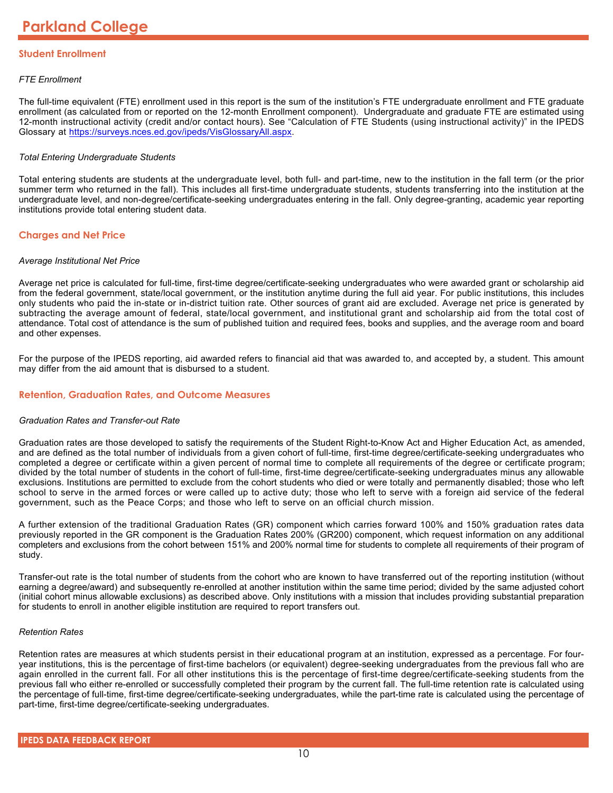#### **Student Enrollment**

#### *FTE Enrollment*

The full-time equivalent (FTE) enrollment used in this report is the sum of the institution's FTE undergraduate enrollment and FTE graduate enrollment (as calculated from or reported on the 12-month Enrollment component). Undergraduate and graduate FTE are estimated using 12-month instructional activity (credit and/or contact hours). See "Calculation of FTE Students (using instructional activity)" in the IPEDS Glossary at <https://surveys.nces.ed.gov/ipeds/VisGlossaryAll.aspx>.

#### *Total Entering Undergraduate Students*

Total entering students are students at the undergraduate level, both full- and part-time, new to the institution in the fall term (or the prior summer term who returned in the fall). This includes all first-time undergraduate students, students transferring into the institution at the undergraduate level, and non-degree/certificate-seeking undergraduates entering in the fall. Only degree-granting, academic year reporting institutions provide total entering student data.

#### **Charges and Net Price**

#### *Average Institutional Net Price*

Average net price is calculated for full-time, first-time degree/certificate-seeking undergraduates who were awarded grant or scholarship aid from the federal government, state/local government, or the institution anytime during the full aid year. For public institutions, this includes only students who paid the in-state or in-district tuition rate. Other sources of grant aid are excluded. Average net price is generated by subtracting the average amount of federal, state/local government, and institutional grant and scholarship aid from the total cost of attendance. Total cost of attendance is the sum of published tuition and required fees, books and supplies, and the average room and board and other expenses.

For the purpose of the IPEDS reporting, aid awarded refers to financial aid that was awarded to, and accepted by, a student. This amount may differ from the aid amount that is disbursed to a student.

#### **Retention, Graduation Rates, and Outcome Measures**

#### *Graduation Rates and Transfer-out Rate*

Graduation rates are those developed to satisfy the requirements of the Student Right-to-Know Act and Higher Education Act, as amended, and are defined as the total number of individuals from a given cohort of full-time, first-time degree/certificate-seeking undergraduates who completed a degree or certificate within a given percent of normal time to complete all requirements of the degree or certificate program; divided by the total number of students in the cohort of full-time, first-time degree/certificate-seeking undergraduates minus any allowable exclusions. Institutions are permitted to exclude from the cohort students who died or were totally and permanently disabled; those who left school to serve in the armed forces or were called up to active duty; those who left to serve with a foreign aid service of the federal government, such as the Peace Corps; and those who left to serve on an official church mission.

A further extension of the traditional Graduation Rates (GR) component which carries forward 100% and 150% graduation rates data previously reported in the GR component is the Graduation Rates 200% (GR200) component, which request information on any additional completers and exclusions from the cohort between 151% and 200% normal time for students to complete all requirements of their program of study.

Transfer-out rate is the total number of students from the cohort who are known to have transferred out of the reporting institution (without earning a degree/award) and subsequently re-enrolled at another institution within the same time period; divided by the same adjusted cohort (initial cohort minus allowable exclusions) as described above. Only institutions with a mission that includes providing substantial preparation for students to enroll in another eligible institution are required to report transfers out.

#### *Retention Rates*

Retention rates are measures at which students persist in their educational program at an institution, expressed as a percentage. For fouryear institutions, this is the percentage of first-time bachelors (or equivalent) degree-seeking undergraduates from the previous fall who are again enrolled in the current fall. For all other institutions this is the percentage of first-time degree/certificate-seeking students from the previous fall who either re-enrolled or successfully completed their program by the current fall. The full-time retention rate is calculated using the percentage of full-time, first-time degree/certificate-seeking undergraduates, while the part-time rate is calculated using the percentage of part-time, first-time degree/certificate-seeking undergraduates.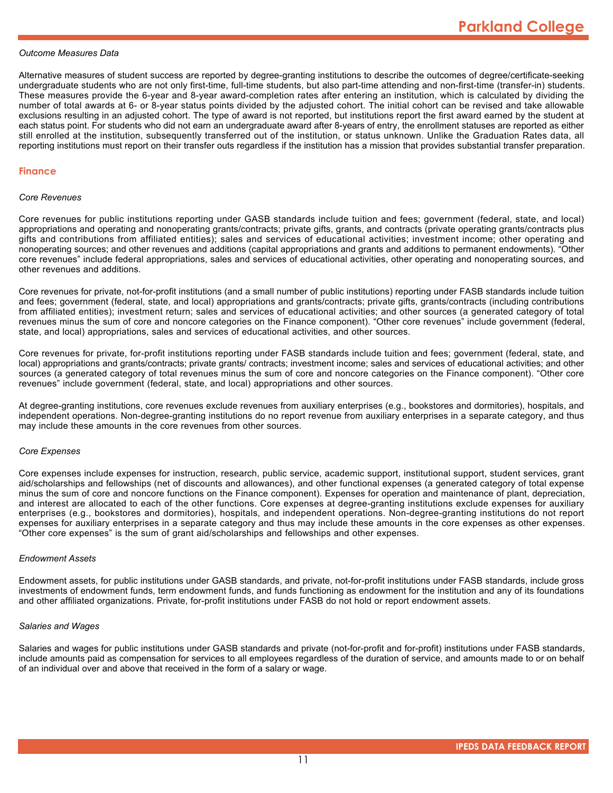#### *Outcome Measures Data*

Alternative measures of student success are reported by degree-granting institutions to describe the outcomes of degree/certificate-seeking undergraduate students who are not only first-time, full-time students, but also part-time attending and non-first-time (transfer-in) students. These measures provide the 6-year and 8-year award-completion rates after entering an institution, which is calculated by dividing the number of total awards at 6- or 8-year status points divided by the adjusted cohort. The initial cohort can be revised and take allowable exclusions resulting in an adjusted cohort. The type of award is not reported, but institutions report the first award earned by the student at each status point. For students who did not earn an undergraduate award after 8-years of entry, the enrollment statuses are reported as either still enrolled at the institution, subsequently transferred out of the institution, or status unknown. Unlike the Graduation Rates data, all reporting institutions must report on their transfer outs regardless if the institution has a mission that provides substantial transfer preparation.

#### **Finance**

#### *Core Revenues*

Core revenues for public institutions reporting under GASB standards include tuition and fees; government (federal, state, and local) appropriations and operating and nonoperating grants/contracts; private gifts, grants, and contracts (private operating grants/contracts plus gifts and contributions from affiliated entities); sales and services of educational activities; investment income; other operating and nonoperating sources; and other revenues and additions (capital appropriations and grants and additions to permanent endowments). "Other core revenues" include federal appropriations, sales and services of educational activities, other operating and nonoperating sources, and other revenues and additions.

Core revenues for private, not-for-profit institutions (and a small number of public institutions) reporting under FASB standards include tuition and fees; government (federal, state, and local) appropriations and grants/contracts; private gifts, grants/contracts (including contributions from affiliated entities); investment return; sales and services of educational activities; and other sources (a generated category of total revenues minus the sum of core and noncore categories on the Finance component). "Other core revenues" include government (federal, state, and local) appropriations, sales and services of educational activities, and other sources.

Core revenues for private, for-profit institutions reporting under FASB standards include tuition and fees; government (federal, state, and local) appropriations and grants/contracts; private grants/ contracts; investment income; sales and services of educational activities; and other sources (a generated category of total revenues minus the sum of core and noncore categories on the Finance component). "Other core revenues" include government (federal, state, and local) appropriations and other sources.

At degree-granting institutions, core revenues exclude revenues from auxiliary enterprises (e.g., bookstores and dormitories), hospitals, and independent operations. Non-degree-granting institutions do no report revenue from auxiliary enterprises in a separate category, and thus may include these amounts in the core revenues from other sources.

#### *Core Expenses*

Core expenses include expenses for instruction, research, public service, academic support, institutional support, student services, grant aid/scholarships and fellowships (net of discounts and allowances), and other functional expenses (a generated category of total expense minus the sum of core and noncore functions on the Finance component). Expenses for operation and maintenance of plant, depreciation, and interest are allocated to each of the other functions. Core expenses at degree-granting institutions exclude expenses for auxiliary enterprises (e.g., bookstores and dormitories), hospitals, and independent operations. Non-degree-granting institutions do not report expenses for auxiliary enterprises in a separate category and thus may include these amounts in the core expenses as other expenses. "Other core expenses" is the sum of grant aid/scholarships and fellowships and other expenses.

#### *Endowment Assets*

Endowment assets, for public institutions under GASB standards, and private, not-for-profit institutions under FASB standards, include gross investments of endowment funds, term endowment funds, and funds functioning as endowment for the institution and any of its foundations and other affiliated organizations. Private, for-profit institutions under FASB do not hold or report endowment assets.

#### *Salaries and Wages*

Salaries and wages for public institutions under GASB standards and private (not-for-profit and for-profit) institutions under FASB standards, include amounts paid as compensation for services to all employees regardless of the duration of service, and amounts made to or on behalf of an individual over and above that received in the form of a salary or wage.